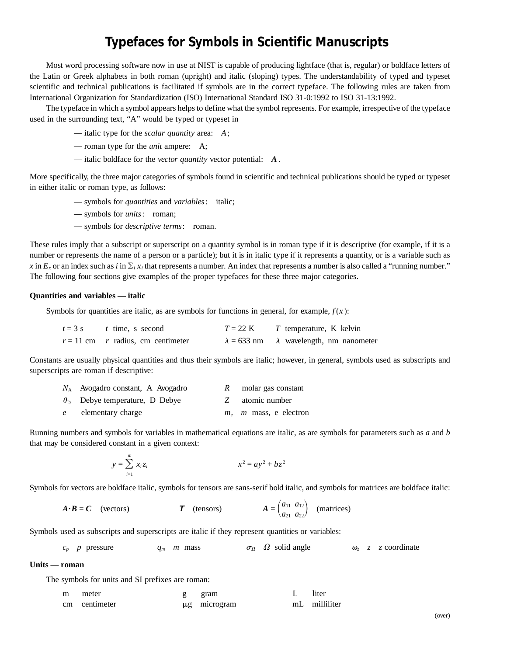# **Typefaces for Symbols in Scientific Manuscripts**

Most word processing software now in use at NIST is capable of producing lightface (that is, regular) or boldface letters of the Latin or Greek alphabets in both roman (upright) and italic (sloping) types. The understandability of typed and typeset scientific and technical publications is facilitated if symbols are in the correct typeface. The following rules are taken from International Organization for Standardization (ISO) International Standard ISO 31-0:1992 to ISO 31-13:1992.

The typeface in which a symbol appears helps to define what the symbol represents. For example, irrespective of the typeface used in the surrounding text, "A" would be typed or typeset in

— italic type for the *scalar quantity* area: *A*;

— roman type for the *unit* ampere: A;

— italic boldface for the *vector quantity* vector potential: *A* .

More specifically, the three major categories of symbols found in scientific and technical publications should be typed or typeset in either italic or roman type, as follows:

- symbols for *quantities* and *variables*: italic;
- symbols for *units*: roman;
- symbols for *descriptive terms*: roman.

These rules imply that a subscript or superscript on a quantity symbol is in roman type if it is descriptive (for example, if it is a number or represents the name of a person or a particle); but it is in italic type if it represents a quantity, or is a variable such as *x* in  $E_x$  or an index such as *i* in  $\sum_i x_i$  that represents a number. An index that represents a number is also called a "running number." The following four sections give examples of the proper typefaces for these three major categories.

#### **Quantities and variables — italic**

Symbols for quantities are italic, as are symbols for functions in general, for example,  $f(x)$ :

| $t = 3$ s t time, s second          | $T = 22$ K | T temperature, K kelvin                               |
|-------------------------------------|------------|-------------------------------------------------------|
| $r = 11$ cm r radius, cm centimeter |            | $\lambda = 633$ nm $\lambda$ wavelength, nm nanometer |

Constants are usually physical quantities and thus their symbols are italic; however, in general, symbols used as subscripts and superscripts are roman if descriptive:

|              | $N_A$ Avogadro constant, A Avogadro         | molar gas constant              |
|--------------|---------------------------------------------|---------------------------------|
|              | $\theta_{\rm D}$ Debye temperature, D Debye | atomic number                   |
| $\mathbf{e}$ | elementary charge                           | $m_e$ <i>m</i> mass, e electron |

Running numbers and symbols for variables in mathematical equations are italic, as are symbols for parameters such as *a* and *b* that may be considered constant in a given context:

$$
y = \sum_{i=1}^{m} x_i z_i
$$
  $x^2 = ay^2 + bz^2$ 

Symbols for vectors are boldface italic, symbols for tensors are sans-serif bold italic, and symbols for matrices are boldface italic:

$$
A \cdot B = C
$$
 (vectors)  $T$  (tensors)  $A = \begin{pmatrix} a_{11} & a_{12} \\ a_{21} & a_{22} \end{pmatrix}$  (matrices)

Symbols used as subscripts and superscripts are italic if they represent quantities or variables:

$$
c_p
$$
 p pressure  $q_m$  m mass  $\sigma_\Omega$   $\Omega$  solid angle  $\omega_z$  z coordinate

### **Units — roman**

The symbols for units and SI prefixes are roman:

| m | meter         | gram              | liter         |
|---|---------------|-------------------|---------------|
|   | cm centimeter | $\mu$ g microgram | mL milliliter |